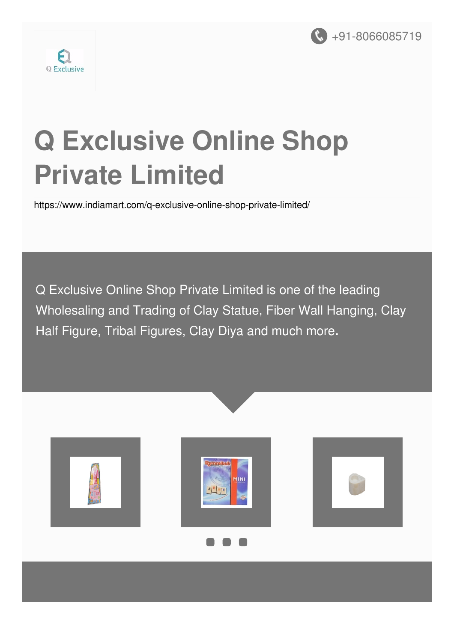



# **Q Exclusive Online Shop Private Limited**

<https://www.indiamart.com/q-exclusive-online-shop-private-limited/>

Q Exclusive Online Shop Private Limited is one of the leading Wholesaling and Trading of Clay Statue, Fiber Wall Hanging, Clay Half Figure, Tribal Figures, Clay Diya and much more**.**





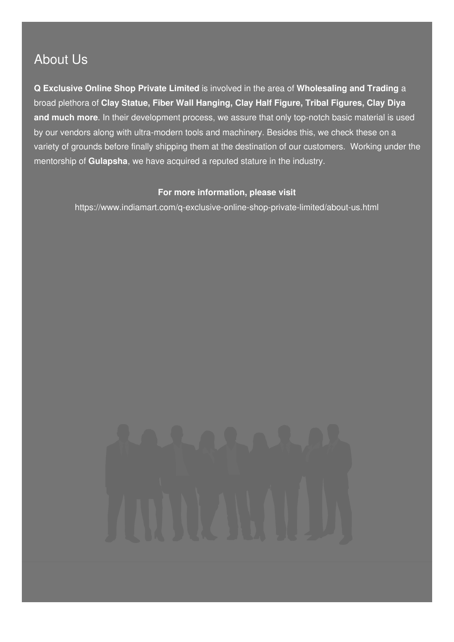#### About Us

**Q Exclusive Online Shop Private Limited** is involved in the area of **Wholesaling and Trading** a broad plethora of **Clay Statue, Fiber Wall Hanging, Clay Half Figure, Tribal Figures, Clay Diya and much more**. In their development process, we assure that only top-notch basic material is used by our vendors along with ultra-modern tools and machinery. Besides this, we check these on a variety of grounds before finally shipping them at the destination of our customers. Working under the mentorship of **Gulapsha**, we have acquired a reputed stature in the industry.

#### **For more information, please visit**

<https://www.indiamart.com/q-exclusive-online-shop-private-limited/about-us.html>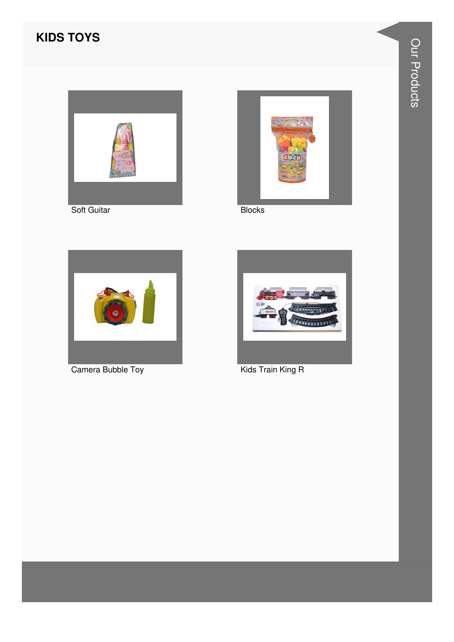#### **KIDS TOYS**





**Blocks** 



Camera Bubble Toy



Kids Train King R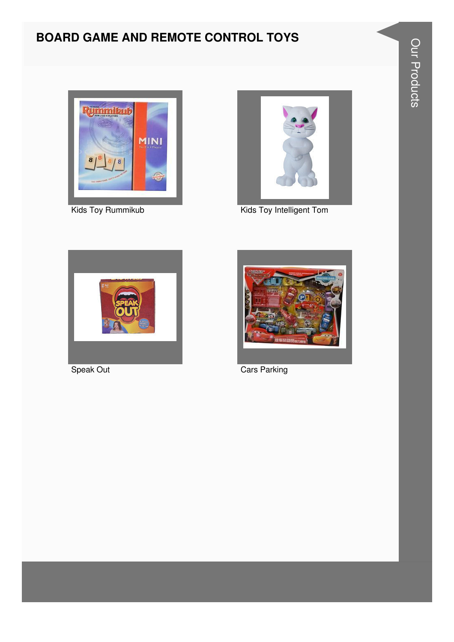### **BOARD GAME AND REMOTE CONTROL TOYS**





Kids Toy Rummikub Kids Toy Intelligent Tom





Speak Out Cars Parking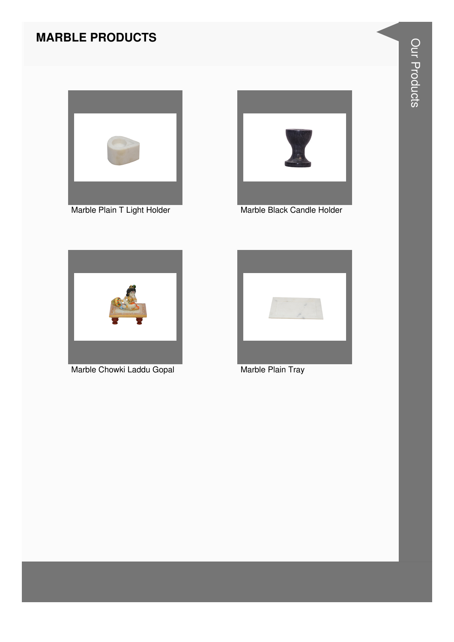#### **MARBLE PRODUCTS**



Marble Plain T Light Holder



Marble Black Candle Holder



Marble Chowki Laddu Gopal



Marble Plain Tray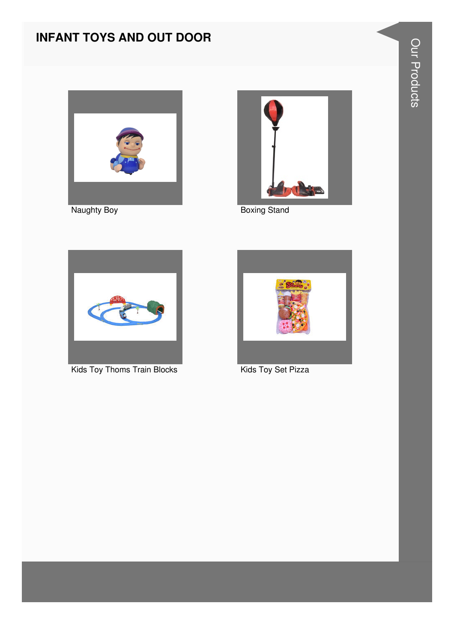#### **INFANT TOYS AND OUT DOOR**



Naughty Boy



**Boxing Stand** 



**Kids Toy Thoms Train Blocks** 



Kids Toy Set Pizza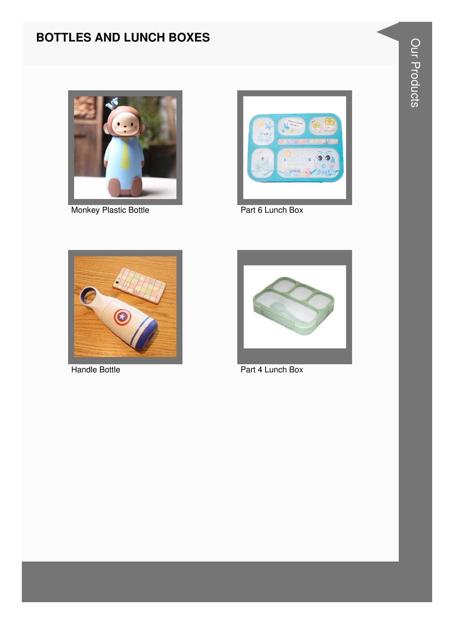#### **BOTTLES AND LUNCH BOXES**



Monkey Plastic Bottle **Part 6 Lunch Box** 







Handle Bottle **Part 4 Lunch Box**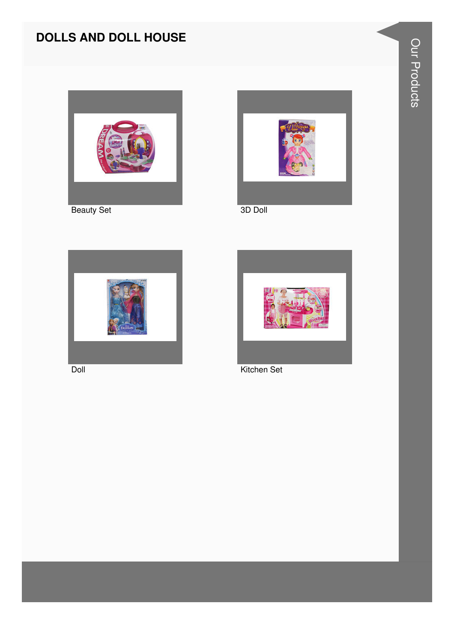#### **DOLLS AND DOLL HOUSE**









Doll Kitchen Set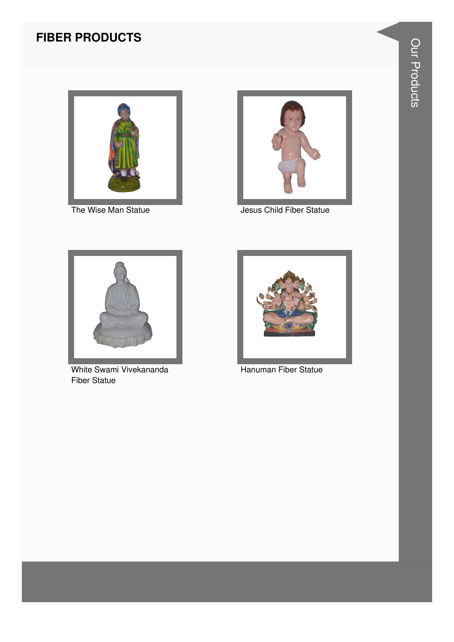#### **FIBER PRODUCTS**



The Wise Man Statue



Jesus Child Fiber Statue



White Swami Vivekananda **Fiber Statue** 



Hanuman Fiber Statue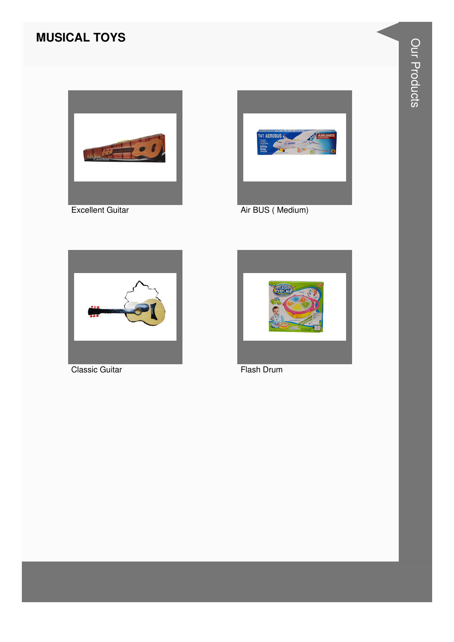#### **MUSICAL TOYS**



**Excellent Guitar** 



Air BUS (Medium)



**Classic Guitar** 



Flash Drum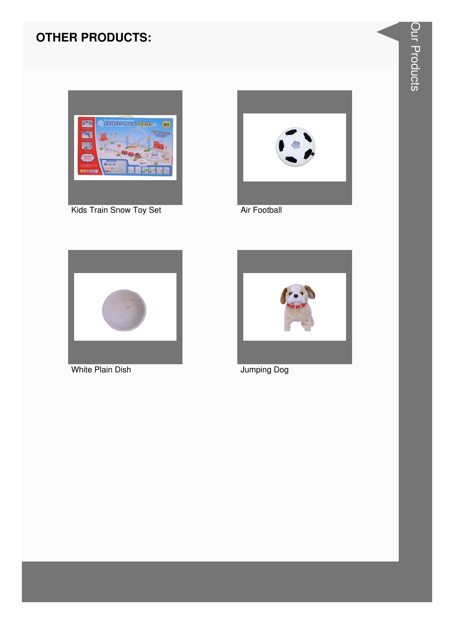#### **OTHER PRODUCTS:**



Kids Train Snow Toy Set



Air Football



**White Plain Dish** 



Jumping Dog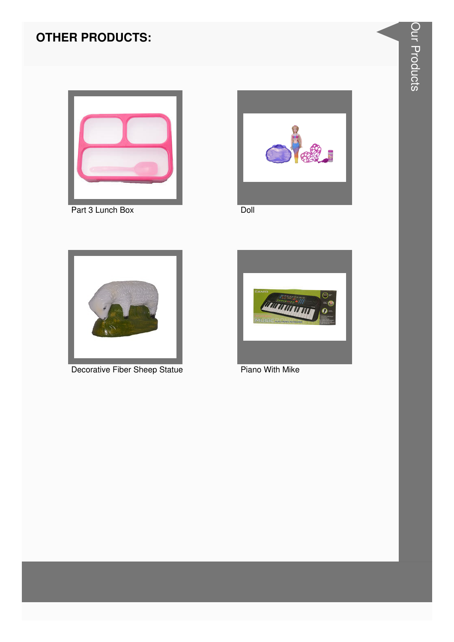#### **OTHER PRODUCTS:**







Doll



Decorative Fiber Sheep Statue



**Piano With Mike**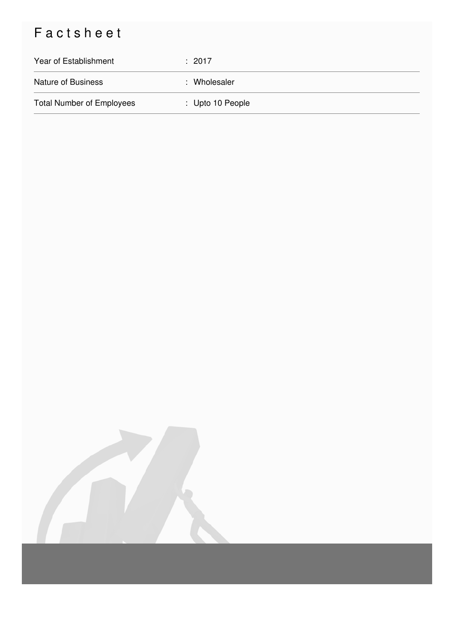## Factsheet

| Year of Establishment            | : 2017           |
|----------------------------------|------------------|
| <b>Nature of Business</b>        | : Wholesaler     |
| <b>Total Number of Employees</b> | : Upto 10 People |